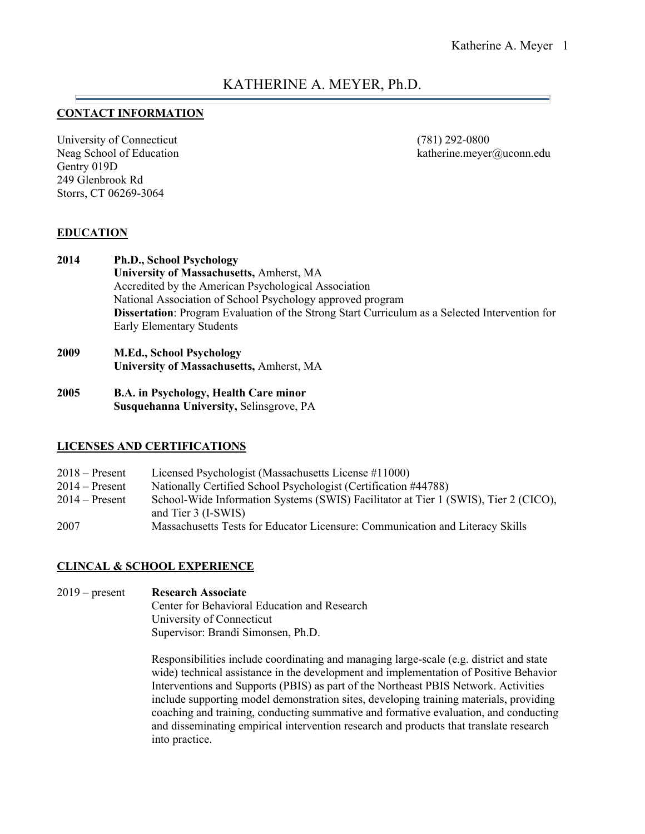# KATHERINE A. MEYER, Ph.D.

## **CONTACT INFORMATION**

University of Connecticut (781) 292-0800 Gentry 019D 249 Glenbrook Rd Storrs, CT 06269-3064

Neag School of Education **katherine.meyer@uconn.edu** katherine.meyer@uconn.edu

## **EDUCATION**

- **2014 Ph.D., School Psychology University of Massachusetts,** Amherst, MA Accredited by the American Psychological Association National Association of School Psychology approved program **Dissertation**: Program Evaluation of the Strong Start Curriculum as a Selected Intervention for Early Elementary Students
- **2009 M.Ed., School Psychology University of Massachusetts,** Amherst, MA
- **2005 B.A. in Psychology, Health Care minor Susquehanna University,** Selinsgrove, PA

#### **LICENSES AND CERTIFICATIONS**

| $2018 -$ Present | Licensed Psychologist (Massachusetts License #11000)                                |
|------------------|-------------------------------------------------------------------------------------|
| $2014 -$ Present | Nationally Certified School Psychologist (Certification #44788)                     |
| $2014 -$ Present | School-Wide Information Systems (SWIS) Facilitator at Tier 1 (SWIS), Tier 2 (CICO), |
|                  | and Tier 3 (I-SWIS)                                                                 |
| 2007             | Massachusetts Tests for Educator Licensure: Communication and Literacy Skills       |

#### **CLINCAL & SCHOOL EXPERIENCE**

2019 – present **Research Associate** Center for Behavioral Education and Research University of Connecticut Supervisor: Brandi Simonsen, Ph.D.

> Responsibilities include coordinating and managing large-scale (e.g. district and state wide) technical assistance in the development and implementation of Positive Behavior Interventions and Supports (PBIS) as part of the Northeast PBIS Network. Activities include supporting model demonstration sites, developing training materials, providing coaching and training, conducting summative and formative evaluation, and conducting and disseminating empirical intervention research and products that translate research into practice.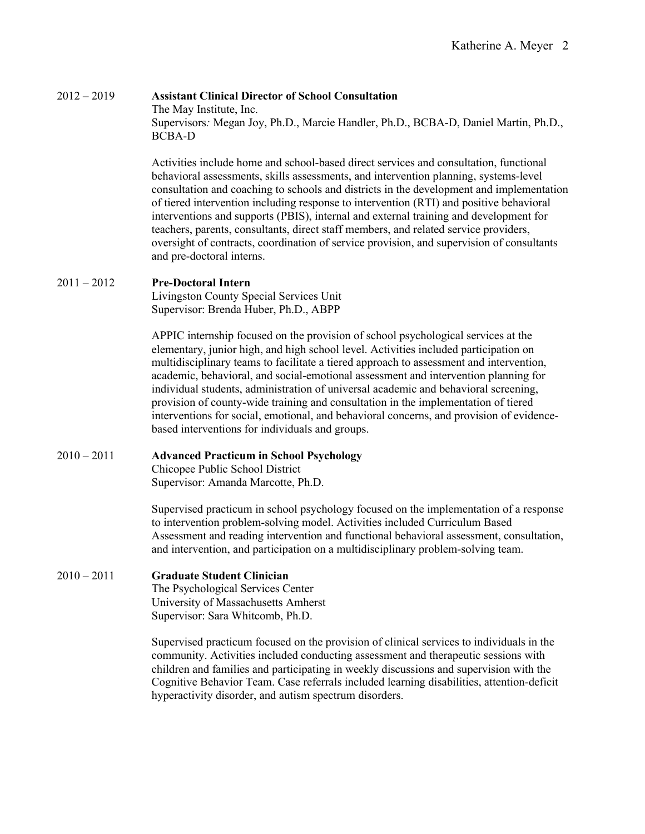2012 – 2019 **Assistant Clinical Director of School Consultation** The May Institute, Inc. Supervisors*:* Megan Joy, Ph.D., Marcie Handler, Ph.D., BCBA-D, Daniel Martin, Ph.D., BCBA-D

> Activities include home and school-based direct services and consultation, functional behavioral assessments, skills assessments, and intervention planning, systems-level consultation and coaching to schools and districts in the development and implementation of tiered intervention including response to intervention (RTI) and positive behavioral interventions and supports (PBIS), internal and external training and development for teachers, parents, consultants, direct staff members, and related service providers, oversight of contracts, coordination of service provision, and supervision of consultants and pre-doctoral interns.

## 2011 – 2012 **Pre-Doctoral Intern**

Livingston County Special Services Unit Supervisor: Brenda Huber, Ph.D., ABPP

APPIC internship focused on the provision of school psychological services at the elementary, junior high, and high school level. Activities included participation on multidisciplinary teams to facilitate a tiered approach to assessment and intervention, academic, behavioral, and social-emotional assessment and intervention planning for individual students, administration of universal academic and behavioral screening, provision of county-wide training and consultation in the implementation of tiered interventions for social, emotional, and behavioral concerns, and provision of evidencebased interventions for individuals and groups.

## 2010 – 2011 **Advanced Practicum in School Psychology**

Chicopee Public School District Supervisor: Amanda Marcotte, Ph.D.

Supervised practicum in school psychology focused on the implementation of a response to intervention problem-solving model. Activities included Curriculum Based Assessment and reading intervention and functional behavioral assessment, consultation, and intervention, and participation on a multidisciplinary problem-solving team.

## 2010 – 2011 **Graduate Student Clinician**

The Psychological Services Center University of Massachusetts Amherst Supervisor: Sara Whitcomb, Ph.D.

Supervised practicum focused on the provision of clinical services to individuals in the community. Activities included conducting assessment and therapeutic sessions with children and families and participating in weekly discussions and supervision with the Cognitive Behavior Team. Case referrals included learning disabilities, attention-deficit hyperactivity disorder, and autism spectrum disorders.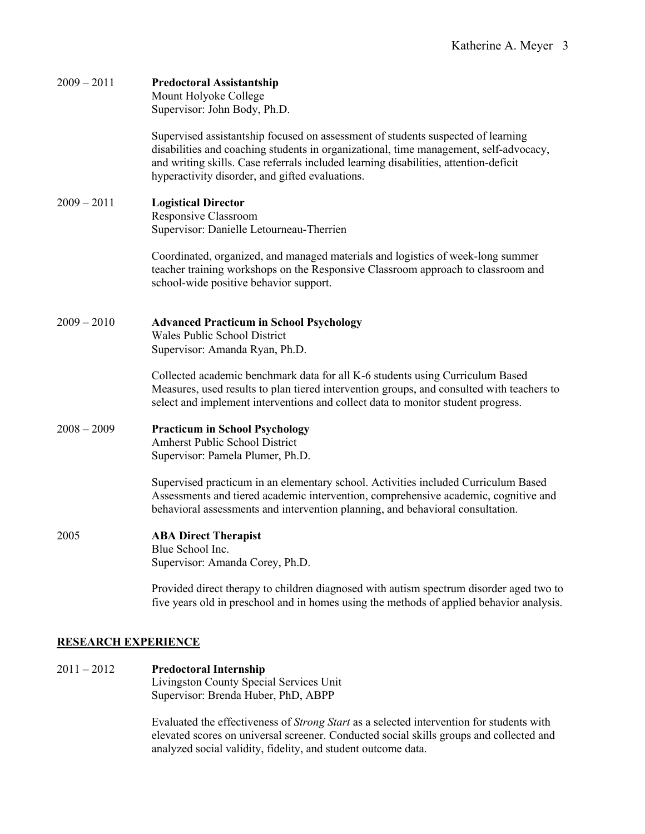| $2009 - 2011$ | <b>Predoctoral Assistantship</b><br>Mount Holyoke College<br>Supervisor: John Body, Ph.D.                                                                                                                                                                                                                            |
|---------------|----------------------------------------------------------------------------------------------------------------------------------------------------------------------------------------------------------------------------------------------------------------------------------------------------------------------|
|               | Supervised assistantship focused on assessment of students suspected of learning<br>disabilities and coaching students in organizational, time management, self-advocacy,<br>and writing skills. Case referrals included learning disabilities, attention-deficit<br>hyperactivity disorder, and gifted evaluations. |
| $2009 - 2011$ | <b>Logistical Director</b><br>Responsive Classroom<br>Supervisor: Danielle Letourneau-Therrien                                                                                                                                                                                                                       |
|               | Coordinated, organized, and managed materials and logistics of week-long summer<br>teacher training workshops on the Responsive Classroom approach to classroom and<br>school-wide positive behavior support.                                                                                                        |
| $2009 - 2010$ | <b>Advanced Practicum in School Psychology</b><br>Wales Public School District<br>Supervisor: Amanda Ryan, Ph.D.                                                                                                                                                                                                     |
|               | Collected academic benchmark data for all K-6 students using Curriculum Based<br>Measures, used results to plan tiered intervention groups, and consulted with teachers to<br>select and implement interventions and collect data to monitor student progress.                                                       |
| $2008 - 2009$ | <b>Practicum in School Psychology</b><br><b>Amherst Public School District</b><br>Supervisor: Pamela Plumer, Ph.D.                                                                                                                                                                                                   |
|               | Supervised practicum in an elementary school. Activities included Curriculum Based<br>Assessments and tiered academic intervention, comprehensive academic, cognitive and<br>behavioral assessments and intervention planning, and behavioral consultation.                                                          |
| 2005          | <b>ABA Direct Therapist</b><br>Blue School Inc.<br>Supervisor: Amanda Corey, Ph.D.                                                                                                                                                                                                                                   |
|               | Provided direct therapy to children diagnosed with autism spectrum disorder aged two to<br>five years old in preschool and in homes using the methods of applied behavior analysis.                                                                                                                                  |

## **RESEARCH EXPERIENCE**

## 2011 – 2012 **Predoctoral Internship** Livingston County Special Services Unit

Supervisor: Brenda Huber, PhD, ABPP

Evaluated the effectiveness of *Strong Start* as a selected intervention for students with elevated scores on universal screener. Conducted social skills groups and collected and analyzed social validity, fidelity, and student outcome data.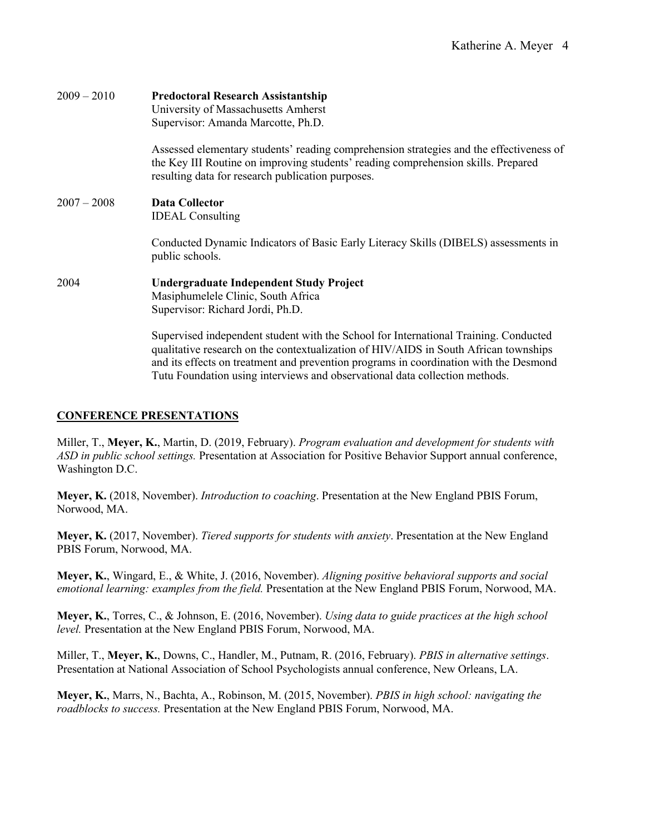| $2009 - 2010$ | <b>Predoctoral Research Assistantship</b><br>University of Massachusetts Amherst<br>Supervisor: Amanda Marcotte, Ph.D.                                                                                                                                                                                                                               |
|---------------|------------------------------------------------------------------------------------------------------------------------------------------------------------------------------------------------------------------------------------------------------------------------------------------------------------------------------------------------------|
|               | Assessed elementary students' reading comprehension strategies and the effectiveness of<br>the Key III Routine on improving students' reading comprehension skills. Prepared<br>resulting data for research publication purposes.                                                                                                                    |
| $2007 - 2008$ | <b>Data Collector</b><br><b>IDEAL</b> Consulting                                                                                                                                                                                                                                                                                                     |
|               | Conducted Dynamic Indicators of Basic Early Literacy Skills (DIBELS) assessments in<br>public schools.                                                                                                                                                                                                                                               |
| 2004          | <b>Undergraduate Independent Study Project</b><br>Masiphumelele Clinic, South Africa<br>Supervisor: Richard Jordi, Ph.D.                                                                                                                                                                                                                             |
|               | Supervised independent student with the School for International Training. Conducted<br>qualitative research on the contextualization of HIV/AIDS in South African townships<br>and its effects on treatment and prevention programs in coordination with the Desmond<br>Tutu Foundation using interviews and observational data collection methods. |

#### **CONFERENCE PRESENTATIONS**

Miller, T., **Meyer, K.**, Martin, D. (2019, February). *Program evaluation and development for students with ASD in public school settings.* Presentation at Association for Positive Behavior Support annual conference, Washington D.C.

**Meyer, K.** (2018, November). *Introduction to coaching*. Presentation at the New England PBIS Forum, Norwood, MA.

**Meyer, K.** (2017, November). *Tiered supports for students with anxiety*. Presentation at the New England PBIS Forum, Norwood, MA.

**Meyer, K.**, Wingard, E., & White, J. (2016, November). *Aligning positive behavioral supports and social emotional learning: examples from the field.* Presentation at the New England PBIS Forum, Norwood, MA.

**Meyer, K.**, Torres, C., & Johnson, E. (2016, November). *Using data to guide practices at the high school level.* Presentation at the New England PBIS Forum, Norwood, MA.

Miller, T., **Meyer, K.**, Downs, C., Handler, M., Putnam, R. (2016, February). *PBIS in alternative settings*. Presentation at National Association of School Psychologists annual conference, New Orleans, LA.

**Meyer, K.**, Marrs, N., Bachta, A., Robinson, M. (2015, November). *PBIS in high school: navigating the roadblocks to success.* Presentation at the New England PBIS Forum, Norwood, MA.